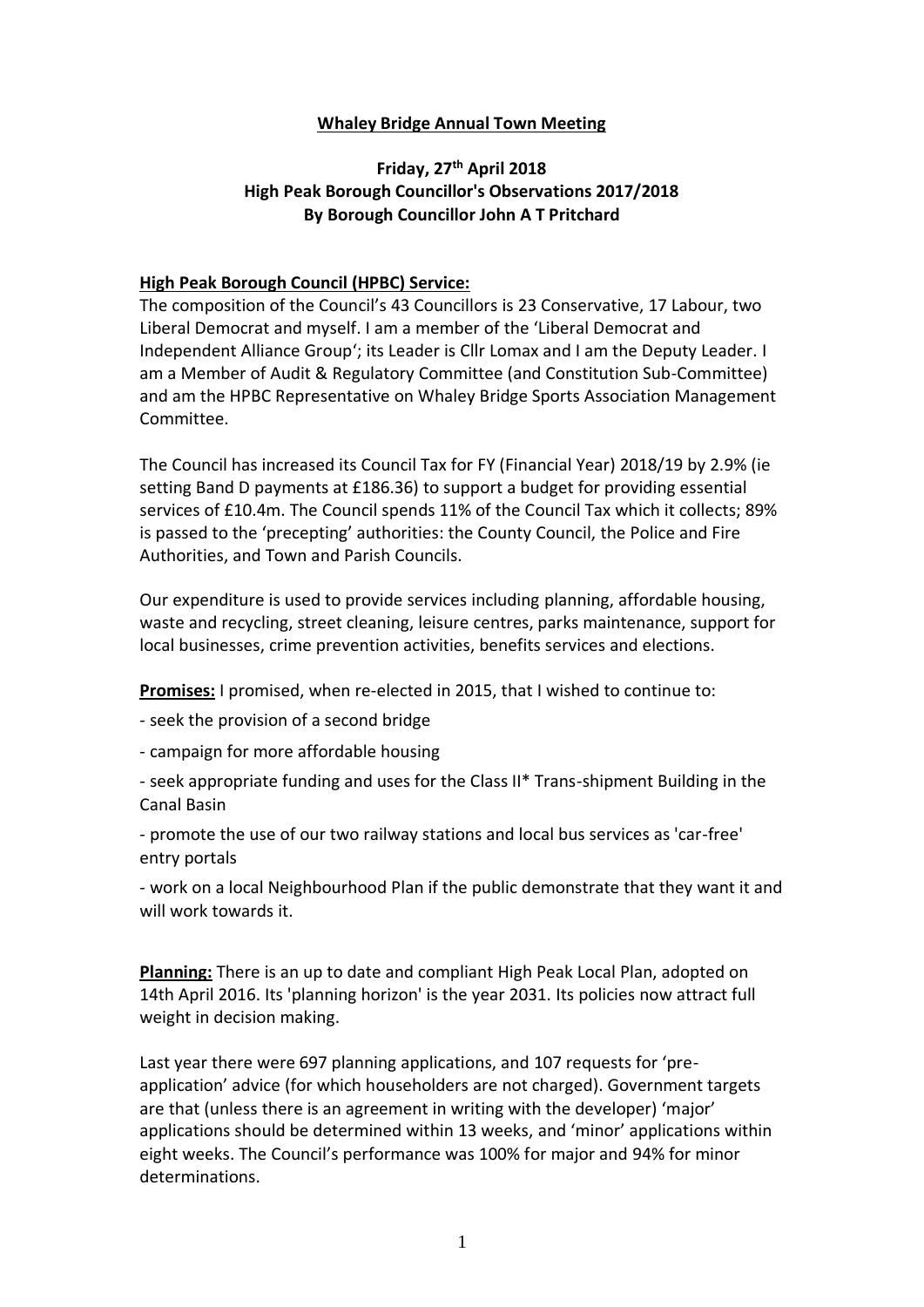#### **Whaley Bridge Annual Town Meeting**

## **Friday, 27th April 2018 High Peak Borough Councillor's Observations 2017/2018 By Borough Councillor John A T Pritchard**

#### **High Peak Borough Council (HPBC) Service:**

The composition of the Council's 43 Councillors is 23 Conservative, 17 Labour, two Liberal Democrat and myself. I am a member of the 'Liberal Democrat and Independent Alliance Group'; its Leader is Cllr Lomax and I am the Deputy Leader. I am a Member of Audit & Regulatory Committee (and Constitution Sub-Committee) and am the HPBC Representative on Whaley Bridge Sports Association Management Committee.

The Council has increased its Council Tax for FY (Financial Year) 2018/19 by 2.9% (ie setting Band D payments at £186.36) to support a budget for providing essential services of £10.4m. The Council spends 11% of the Council Tax which it collects; 89% is passed to the 'precepting' authorities: the County Council, the Police and Fire Authorities, and Town and Parish Councils.

Our expenditure is used to provide services including planning, affordable housing, waste and recycling, street cleaning, leisure centres, parks maintenance, support for local businesses, crime prevention activities, benefits services and elections.

**Promises:** I promised, when re-elected in 2015, that I wished to continue to:

- seek the provision of a second bridge

- campaign for more affordable housing

- seek appropriate funding and uses for the Class II\* Trans-shipment Building in the Canal Basin

- promote the use of our two railway stations and local bus services as 'car-free' entry portals

- work on a local Neighbourhood Plan if the public demonstrate that they want it and will work towards it.

**Planning:** There is an up to date and compliant High Peak Local Plan, adopted on 14th April 2016. Its 'planning horizon' is the year 2031. Its policies now attract full weight in decision making.

Last year there were 697 planning applications, and 107 requests for 'preapplication' advice (for which householders are not charged). Government targets are that (unless there is an agreement in writing with the developer) 'major' applications should be determined within 13 weeks, and 'minor' applications within eight weeks. The Council's performance was 100% for major and 94% for minor determinations.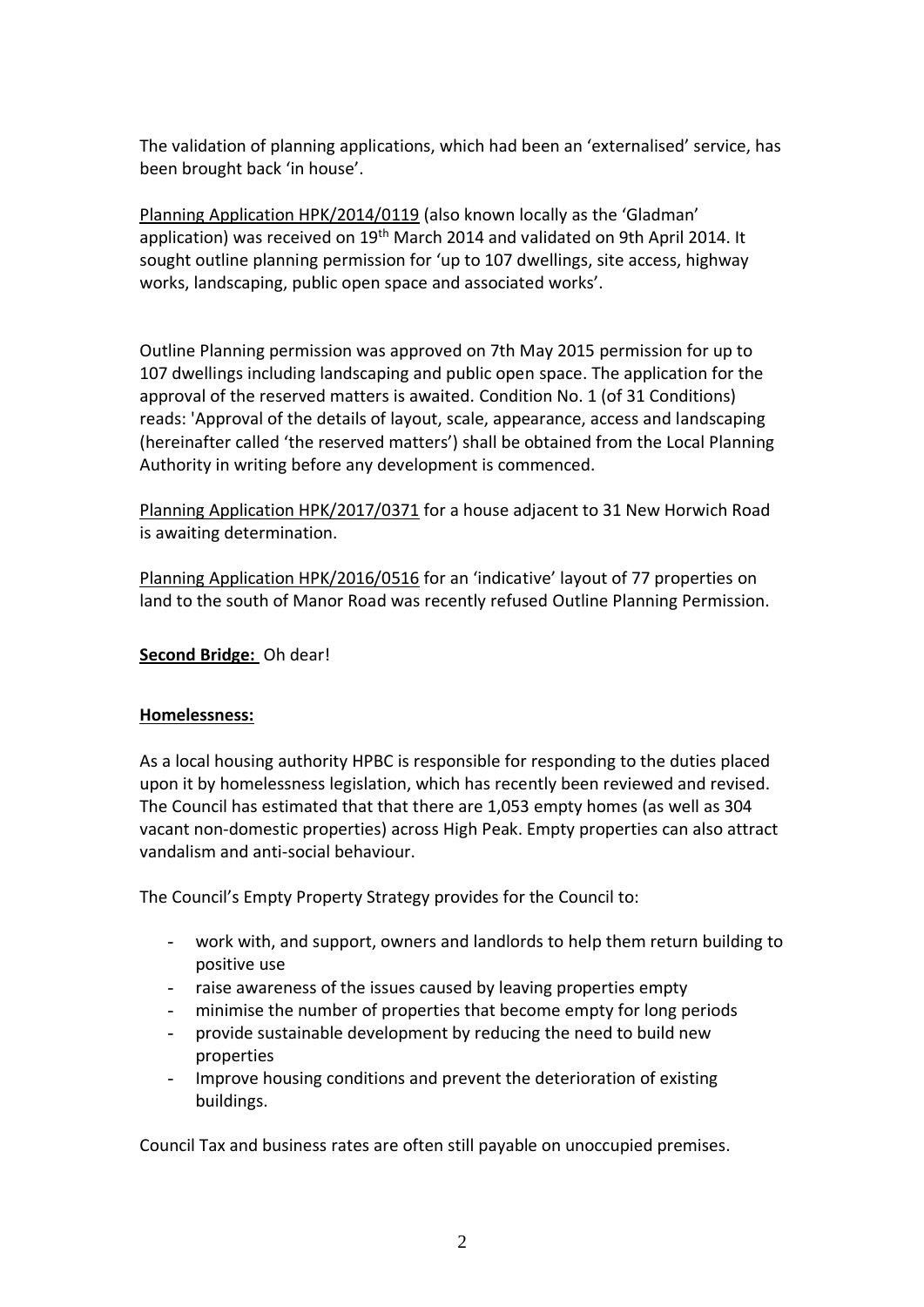The validation of planning applications, which had been an 'externalised' service, has been brought back 'in house'.

Planning Application HPK/2014/0119 (also known locally as the 'Gladman' application) was received on 19<sup>th</sup> March 2014 and validated on 9th April 2014. It sought outline planning permission for 'up to 107 dwellings, site access, highway works, landscaping, public open space and associated works'.

Outline Planning permission was approved on 7th May 2015 permission for up to 107 dwellings including landscaping and public open space. The application for the approval of the reserved matters is awaited. Condition No. 1 (of 31 Conditions) reads: 'Approval of the details of layout, scale, appearance, access and landscaping (hereinafter called 'the reserved matters') shall be obtained from the Local Planning Authority in writing before any development is commenced.

Planning Application HPK/2017/0371 for a house adjacent to 31 New Horwich Road is awaiting determination.

Planning Application HPK/2016/0516 for an 'indicative' layout of 77 properties on land to the south of Manor Road was recently refused Outline Planning Permission.

## **Second Bridge:** Oh dear!

#### **Homelessness:**

As a local housing authority HPBC is responsible for responding to the duties placed upon it by homelessness legislation, which has recently been reviewed and revised. The Council has estimated that that there are 1,053 empty homes (as well as 304 vacant non-domestic properties) across High Peak. Empty properties can also attract vandalism and anti-social behaviour.

The Council's Empty Property Strategy provides for the Council to:

- work with, and support, owners and landlords to help them return building to positive use
- raise awareness of the issues caused by leaving properties empty
- minimise the number of properties that become empty for long periods
- provide sustainable development by reducing the need to build new properties
- Improve housing conditions and prevent the deterioration of existing buildings.

Council Tax and business rates are often still payable on unoccupied premises.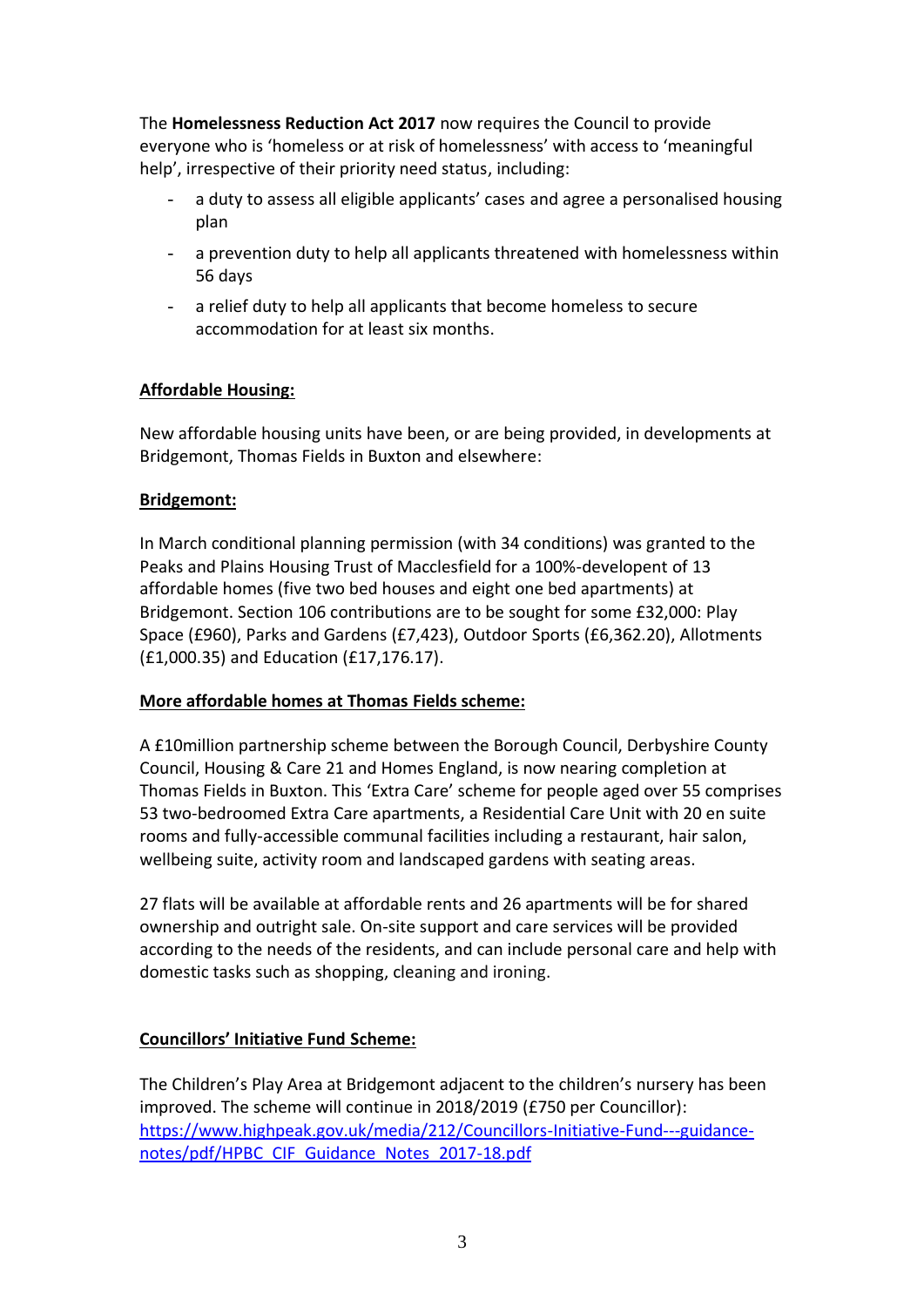The **Homelessness Reduction Act 2017** now requires the Council to provide everyone who is 'homeless or at risk of homelessness' with access to 'meaningful help', irrespective of their priority need status, including:

- a duty to assess all eligible applicants' cases and agree a personalised housing plan
- a prevention duty to help all applicants threatened with homelessness within 56 days
- a relief duty to help all applicants that become homeless to secure accommodation for at least six months.

## **Affordable Housing:**

New affordable housing units have been, or are being provided, in developments at Bridgemont, Thomas Fields in Buxton and elsewhere:

## **Bridgemont:**

In March conditional planning permission (with 34 conditions) was granted to the Peaks and Plains Housing Trust of Macclesfield for a 100%-developent of 13 affordable homes (five two bed houses and eight one bed apartments) at Bridgemont. Section 106 contributions are to be sought for some £32,000: Play Space (£960), Parks and Gardens (£7,423), Outdoor Sports (£6,362.20), Allotments (£1,000.35) and Education (£17,176.17).

## **More affordable homes at Thomas Fields scheme:**

A £10million partnership scheme between the Borough Council, Derbyshire County Council, Housing & Care 21 and Homes England, is now nearing completion at Thomas Fields in Buxton. This 'Extra Care' scheme for people aged over 55 comprises 53 two-bedroomed Extra Care apartments, a Residential Care Unit with 20 en suite rooms and fully-accessible communal facilities including a restaurant, hair salon, wellbeing suite, activity room and landscaped gardens with seating areas.

27 flats will be available at affordable rents and 26 apartments will be for shared ownership and outright sale. On-site support and care services will be provided according to the needs of the residents, and can include personal care and help with domestic tasks such as shopping, cleaning and ironing.

## **Councillors' Initiative Fund Scheme:**

The Children's Play Area at Bridgemont adjacent to the children's nursery has been improved. The scheme will continue in 2018/2019 (£750 per Councillor): [https://www.highpeak.gov.uk/media/212/Councillors-Initiative-Fund---guidance](https://www.highpeak.gov.uk/media/212/Councillors-Initiative-Fund---guidance-notes/pdf/HPBC_CIF_Guidance_Notes_2017-18.pdf)[notes/pdf/HPBC\\_CIF\\_Guidance\\_Notes\\_2017-18.pdf](https://www.highpeak.gov.uk/media/212/Councillors-Initiative-Fund---guidance-notes/pdf/HPBC_CIF_Guidance_Notes_2017-18.pdf)